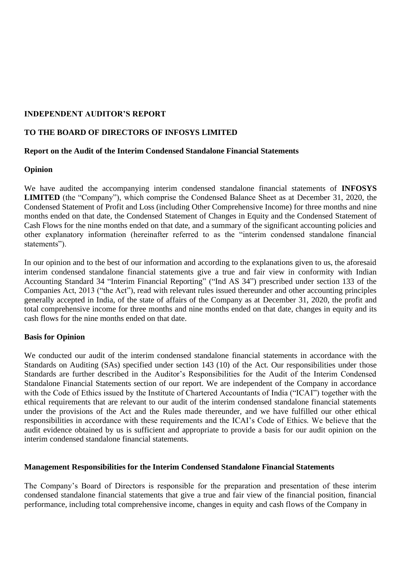# **INDEPENDENT AUDITOR'S REPORT**

# **TO THE BOARD OF DIRECTORS OF INFOSYS LIMITED**

### **Report on the Audit of the Interim Condensed Standalone Financial Statements**

### **Opinion**

We have audited the accompanying interim condensed standalone financial statements of **INFOSYS LIMITED** (the "Company"), which comprise the Condensed Balance Sheet as at December 31, 2020, the Condensed Statement of Profit and Loss (including Other Comprehensive Income) for three months and nine months ended on that date, the Condensed Statement of Changes in Equity and the Condensed Statement of Cash Flows for the nine months ended on that date, and a summary of the significant accounting policies and other explanatory information (hereinafter referred to as the "interim condensed standalone financial statements").

In our opinion and to the best of our information and according to the explanations given to us, the aforesaid interim condensed standalone financial statements give a true and fair view in conformity with Indian Accounting Standard 34 "Interim Financial Reporting" ("Ind AS 34") prescribed under section 133 of the Companies Act, 2013 ("the Act"), read with relevant rules issued thereunder and other accounting principles generally accepted in India, of the state of affairs of the Company as at December 31, 2020, the profit and total comprehensive income for three months and nine months ended on that date, changes in equity and its cash flows for the nine months ended on that date.

# **Basis for Opinion**

We conducted our audit of the interim condensed standalone financial statements in accordance with the Standards on Auditing (SAs) specified under section 143 (10) of the Act. Our responsibilities under those Standards are further described in the Auditor's Responsibilities for the Audit of the Interim Condensed Standalone Financial Statements section of our report. We are independent of the Company in accordance with the Code of Ethics issued by the Institute of Chartered Accountants of India ("ICAI") together with the ethical requirements that are relevant to our audit of the interim condensed standalone financial statements under the provisions of the Act and the Rules made thereunder, and we have fulfilled our other ethical responsibilities in accordance with these requirements and the ICAI's Code of Ethics. We believe that the audit evidence obtained by us is sufficient and appropriate to provide a basis for our audit opinion on the interim condensed standalone financial statements.

### **Management Responsibilities for the Interim Condensed Standalone Financial Statements**

The Company's Board of Directors is responsible for the preparation and presentation of these interim condensed standalone financial statements that give a true and fair view of the financial position, financial performance, including total comprehensive income, changes in equity and cash flows of the Company in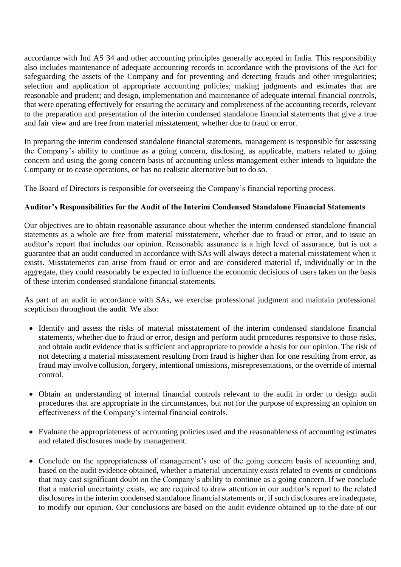accordance with Ind AS 34 and other accounting principles generally accepted in India. This responsibility also includes maintenance of adequate accounting records in accordance with the provisions of the Act for safeguarding the assets of the Company and for preventing and detecting frauds and other irregularities; selection and application of appropriate accounting policies; making judgments and estimates that are reasonable and prudent; and design, implementation and maintenance of adequate internal financial controls, that were operating effectively for ensuring the accuracy and completeness of the accounting records, relevant to the preparation and presentation of the interim condensed standalone financial statements that give a true and fair view and are free from material misstatement, whether due to fraud or error.

In preparing the interim condensed standalone financial statements, management is responsible for assessing the Company's ability to continue as a going concern, disclosing, as applicable, matters related to going concern and using the going concern basis of accounting unless management either intends to liquidate the Company or to cease operations, or has no realistic alternative but to do so.

The Board of Directors is responsible for overseeing the Company's financial reporting process.

# **Auditor's Responsibilities for the Audit of the Interim Condensed Standalone Financial Statements**

Our objectives are to obtain reasonable assurance about whether the interim condensed standalone financial statements as a whole are free from material misstatement, whether due to fraud or error, and to issue an auditor's report that includes our opinion. Reasonable assurance is a high level of assurance, but is not a guarantee that an audit conducted in accordance with SAs will always detect a material misstatement when it exists. Misstatements can arise from fraud or error and are considered material if, individually or in the aggregate, they could reasonably be expected to influence the economic decisions of users taken on the basis of these interim condensed standalone financial statements.

As part of an audit in accordance with SAs, we exercise professional judgment and maintain professional scepticism throughout the audit. We also:

- Identify and assess the risks of material misstatement of the interim condensed standalone financial statements, whether due to fraud or error, design and perform audit procedures responsive to those risks, and obtain audit evidence that is sufficient and appropriate to provide a basis for our opinion. The risk of not detecting a material misstatement resulting from fraud is higher than for one resulting from error, as fraud may involve collusion, forgery, intentional omissions, misrepresentations, or the override of internal control.
- Obtain an understanding of internal financial controls relevant to the audit in order to design audit procedures that are appropriate in the circumstances, but not for the purpose of expressing an opinion on effectiveness of the Company's internal financial controls.
- Evaluate the appropriateness of accounting policies used and the reasonableness of accounting estimates and related disclosures made by management.
- Conclude on the appropriateness of management's use of the going concern basis of accounting and, based on the audit evidence obtained, whether a material uncertainty exists related to events or conditions that may cast significant doubt on the Company's ability to continue as a going concern. If we conclude that a material uncertainty exists, we are required to draw attention in our auditor's report to the related disclosures in the interim condensed standalone financial statements or, if such disclosures are inadequate, to modify our opinion. Our conclusions are based on the audit evidence obtained up to the date of our